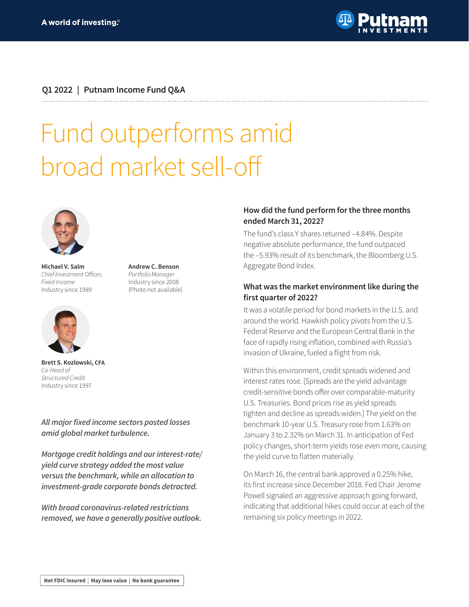

#### **Q1 2022 | Putnam Income Fund Q&A**

# Fund outperforms amid broad market sell-off

**Andrew C. Benson** Portfolio Manager Industry since 2008 (Photo not available)



**Michael V. Salm** Chief Investment Officer, Fixed Income Industry since 1989



**Brett S. Kozlowski, CFA** Co-Head of Structured Credit Industry since 1997

**All major fixed income sectors posted losses amid global market turbulence.** 

**Mortgage credit holdings and our interest-rate/ yield curve strategy added the most value versus the benchmark, while an allocation to investment-grade corporate bonds detracted.**

**With broad coronavirus-related restrictions removed, we have a generally positive outlook.**

#### **How did the fund perform for the three months ended March 31, 2022?**

The fund's class Y shares returned –4.84%. Despite negative absolute performance, the fund outpaced the –5.93% result of its benchmark, the Bloomberg U.S. Aggregate Bond Index.

#### **What was the market environment like during the first quarter of 2022?**

It was a volatile period for bond markets in the U.S. and around the world. Hawkish policy pivots from the U.S. Federal Reserve and the European Central Bank in the face of rapidly rising inflation, combined with Russia's invasion of Ukraine, fueled a flight from risk.

Within this environment, credit spreads widened and interest rates rose. [Spreads are the yield advantage credit-sensitive bonds offer over comparable-maturity U.S. Treasuries. Bond prices rise as yield spreads tighten and decline as spreads widen.] The yield on the benchmark 10-year U.S. Treasury rose from 1.63% on January 3 to 2.32% on March 31. In anticipation of Fed policy changes, short-term yields rose even more, causing the yield curve to flatten materially.

On March 16, the central bank approved a 0.25% hike, its first increase since December 2018. Fed Chair Jerome Powell signaled an aggressive approach going forward, indicating that additional hikes could occur at each of the remaining six policy meetings in 2022.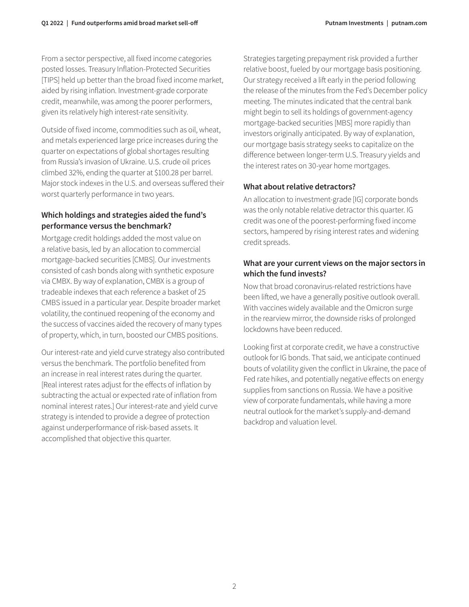From a sector perspective, all fixed income categories posted losses. Treasury Inflation-Protected Securities [TIPS] held up better than the broad fixed income market, aided by rising inflation. Investment-grade corporate credit, meanwhile, was among the poorer performers, given its relatively high interest-rate sensitivity.

Outside of fixed income, commodities such as oil, wheat, and metals experienced large price increases during the quarter on expectations of global shortages resulting from Russia's invasion of Ukraine. U.S. crude oil prices climbed 32%, ending the quarter at \$100.28 per barrel. Major stock indexes in the U.S. and overseas suffered their worst quarterly performance in two years.

## **Which holdings and strategies aided the fund's performance versus the benchmark?**

Mortgage credit holdings added the most value on a relative basis, led by an allocation to commercial mortgage-backed securities [CMBS]. Our investments consisted of cash bonds along with synthetic exposure via CMBX. By way of explanation, CMBX is a group of tradeable indexes that each reference a basket of 25 CMBS issued in a particular year. Despite broader market volatility, the continued reopening of the economy and the success of vaccines aided the recovery of many types of property, which, in turn, boosted our CMBS positions.

Our interest-rate and yield curve strategy also contributed versus the benchmark. The portfolio benefited from an increase in real interest rates during the quarter. [Real interest rates adjust for the effects of inflation by subtracting the actual or expected rate of inflation from nominal interest rates.] Our interest-rate and yield curve strategy is intended to provide a degree of protection against underperformance of risk-based assets. It accomplished that objective this quarter.

Strategies targeting prepayment risk provided a further relative boost, fueled by our mortgage basis positioning. Our strategy received a lift early in the period following the release of the minutes from the Fed's December policy meeting. The minutes indicated that the central bank might begin to sell its holdings of government-agency mortgage-backed securities [MBS] more rapidly than investors originally anticipated. By way of explanation, our mortgage basis strategy seeks to capitalize on the difference between longer-term U.S. Treasury yields and the interest rates on 30-year home mortgages.

# **What about relative detractors?**

An allocation to investment-grade [IG] corporate bonds was the only notable relative detractor this quarter. IG credit was one of the poorest-performing fixed income sectors, hampered by rising interest rates and widening credit spreads.

## **What are your current views on the major sectors in which the fund invests?**

Now that broad coronavirus-related restrictions have been lifted, we have a generally positive outlook overall. With vaccines widely available and the Omicron surge in the rearview mirror, the downside risks of prolonged lockdowns have been reduced.

Looking first at corporate credit, we have a constructive outlook for IG bonds. That said, we anticipate continued bouts of volatility given the conflict in Ukraine, the pace of Fed rate hikes, and potentially negative effects on energy supplies from sanctions on Russia. We have a positive view of corporate fundamentals, while having a more neutral outlook for the market's supply-and-demand backdrop and valuation level.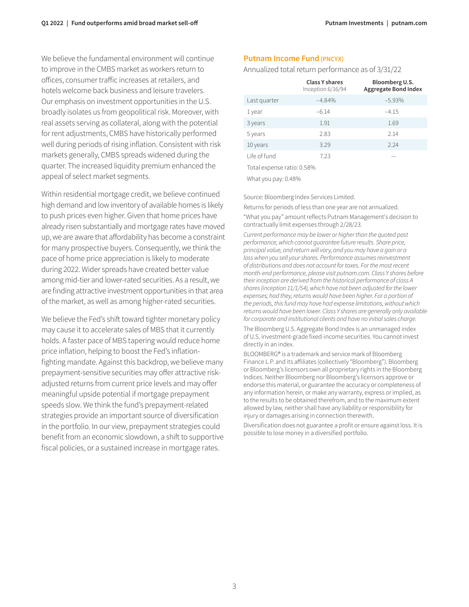We believe the fundamental environment will continue to improve in the CMBS market as workers return to offices, consumer traffic increases at retailers, and hotels welcome back business and leisure travelers. Our emphasis on investment opportunities in the U.S. broadly isolates us from geopolitical risk. Moreover, with real assets serving as collateral, along with the potential for rent adjustments, CMBS have historically performed well during periods of rising inflation. Consistent with risk markets generally, CMBS spreads widened during the quarter. The increased liquidity premium enhanced the appeal of select market segments.

Within residential mortgage credit, we believe continued high demand and low inventory of available homes is likely to push prices even higher. Given that home prices have already risen substantially and mortgage rates have moved up, we are aware that affordability has become a constraint for many prospective buyers. Consequently, we think the pace of home price appreciation is likely to moderate during 2022. Wider spreads have created better value among mid-tier and lower-rated securities. As a result, we are finding attractive investment opportunities in that area of the market, as well as among higher-rated securities.

We believe the Fed's shift toward tighter monetary policy may cause it to accelerate sales of MBS that it currently holds. A faster pace of MBS tapering would reduce home price inflation, helping to boost the Fed's inflationfighting mandate. Against this backdrop, we believe many prepayment-sensitive securities may offer attractive riskadjusted returns from current price levels and may offer meaningful upside potential if mortgage prepayment speeds slow. We think the fund's prepayment-related strategies provide an important source of diversification in the portfolio. In our view, prepayment strategies could benefit from an economic slowdown, a shift to supportive fiscal policies, or a sustained increase in mortgage rates.

#### **Putnam Income Fund (PNCYX)**

Annualized total return performance as of 3/31/22

|                            | Class Y shares<br>Inception 6/16/94 | Bloomberg U.S.<br><b>Aggregate Bond Index</b> |
|----------------------------|-------------------------------------|-----------------------------------------------|
| Last quarter               | $-4.84%$                            | $-5.93%$                                      |
| 1 year                     | $-6.14$                             | $-4.15$                                       |
| 3 years                    | 1.91                                | 1.69                                          |
| 5 years                    | 2.83                                | 2.14                                          |
| 10 years                   | 3.29                                | 2.24                                          |
| Life of fund               | 7.23                                |                                               |
| Total expense ratio: 0.58% |                                     |                                               |

What you pay: 0.48%

Source: Bloomberg Index Services Limited.

Returns for periods of less than one year are not annualized. "What you pay" amount reflects Putnam Management's decision to contractually limit expenses through 2/28/23.

Current performance may be lower or higher than the quoted past performance, which cannot guarantee future results. Share price, principal value, and return will vary, and you may have a gain or a loss when you sell your shares. Performance assumes reinvestment of distributions and does not account for taxes. For the most recent month-end performance, please visit [putnam.com.](https://www.putnam.com?ref=TL035.pdf) Class Y shares before their inception are derived from the historical performance of class A shares (inception 11/1/54), which have not been adjusted for the lower expenses; had they, returns would have been higher. For a portion of the periods, this fund may have had expense limitations, without which returns would have been lower. Class Y shares are generally only available for corporate and institutional clients and have no initial sales charge.

The Bloomberg U.S. Aggregate Bond Index is an unmanaged index of U.S. investment-grade fixed-income securities. You cannot invest directly in an index.

BLOOMBERG® is a trademark and service mark of Bloomberg Finance L.P. and its affiliates (collectively "Bloomberg"). Bloomberg or Bloomberg's licensors own all proprietary rights in the Bloomberg Indices. Neither Bloomberg nor Bloomberg's licensors approve or endorse this material, or guarantee the accuracy or completeness of any information herein, or make any warranty, express or implied, as to the results to be obtained therefrom, and to the maximum extent allowed by law, neither shall have any liability or responsibility for injury or damages arising in connection therewith.

Diversification does not guarantee a profit or ensure against loss. It is possible to lose money in a diversified portfolio.